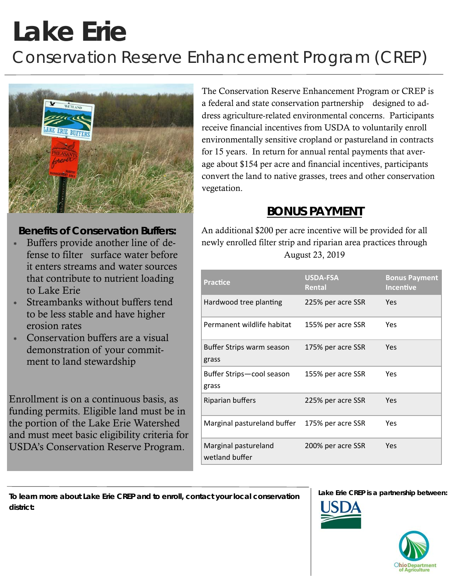# **Lake Erie**  *Conservation Reserve Enhancement Program (CREP)*



## **Benefits of Conservation Buffers:**

- Buffers provide another line of defense to filter surface water before it enters streams and water sources that contribute to nutrient loading to Lake Erie
- Streambanks without buffers tend to be less stable and have higher erosion rates
- Conservation buffers are a visual demonstration of your commitment to land stewardship

Enrollment is on a continuous basis, as funding permits. Eligible land must be in the portion of the Lake Erie Watershed and must meet basic eligibility criteria for USDA's Conservation Reserve Program.

The Conservation Reserve Enhancement Program or CREP is a federal and state conservation partnership designed to address agriculture-related environmental concerns. Participants receive financial incentives from USDA to voluntarily enroll environmentally sensitive cropland or pastureland in contracts for 15 years. In return for annual rental payments that average about \$154 per acre and financial incentives, participants convert the land to native grasses, trees and other conservation vegetation.

# **BONUS PAYMENT**

An additional \$200 per acre incentive will be provided for all newly enrolled filter strip and riparian area practices through August 23, 2019

| <b>Practice</b>                        | <b>USDA-FSA</b><br>Rental | <b>Bonus Payment</b><br><b>Incentive</b> |
|----------------------------------------|---------------------------|------------------------------------------|
| Hardwood tree planting                 | 225% per acre SSR         | Yes                                      |
| Permanent wildlife habitat             | 155% per acre SSR         | Yes                                      |
| Buffer Strips warm season<br>grass     | 175% per acre SSR         | Yes                                      |
| Buffer Strips-cool season<br>grass     | 155% per acre SSR         | Yes                                      |
| Riparian buffers                       | 225% per acre SSR         | Yes                                      |
| Marginal pastureland buffer            | 175% per acre SSR         | Yes                                      |
| Marginal pastureland<br>wetland buffer | 200% per acre SSR         | Yes                                      |

**To learn more about Lake Erie CREP and to enroll, contact your local conservation district:** 

**Lake Erie CREP is a partnership between:**